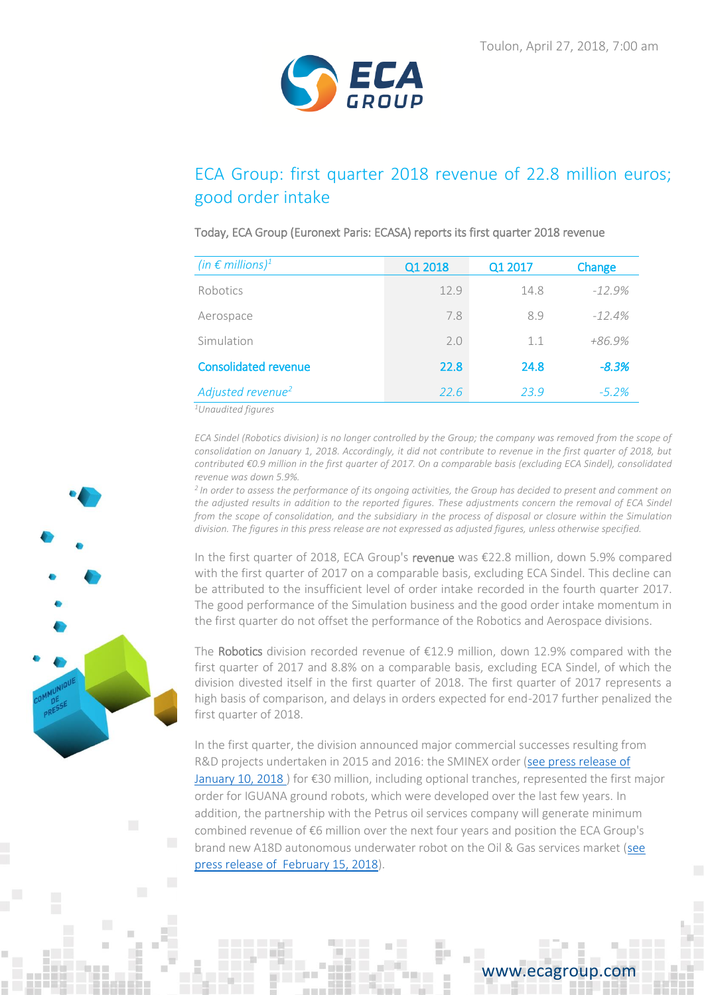

# ECA Group: first quarter 2018 revenue of 22.8 million euros; good order intake

## Today, ECA Group (Euronext Paris: ECASA) reports its first quarter 2018 revenue

| (in $\epsilon$ millions) <sup>1</sup> | Q1 2018 | Q1 2017 | Change   |
|---------------------------------------|---------|---------|----------|
| Robotics                              | 12.9    | 14.8    | $-12.9%$ |
| Aerospace                             | 7.8     | 8.9     | $-12.4%$ |
| Simulation                            | 2.0     | 1.1     | $+86.9%$ |
| <b>Consolidated revenue</b>           | 22.8    | 24.8    | $-8.3%$  |
| Adjusted revenue <sup>2</sup>         | 22.6    | 23.9    | $-5.2\%$ |

*<sup>1</sup>Unaudited figures*

*ECA Sindel (Robotics division) is no longer controlled by the Group; the company was removed from the scope of consolidation on January 1, 2018. Accordingly, it did not contribute to revenue in the first quarter of 2018, but contributed €0.9 million in the first quarter of 2017. On a comparable basis (excluding ECA Sindel), consolidated revenue was down 5.9%.*

*<sup>2</sup>In order to assess the performance of its ongoing activities, the Group has decided to present and comment on*  the adjusted results in addition to the reported figures. These adjustments concern the removal of ECA Sindel *from the scope of consolidation, and the subsidiary in the process of disposal or closure within the Simulation division. The figures in this press release are not expressed as adjusted figures, unless otherwise specified.*

In the first quarter of 2018, ECA Group's revenue was €22.8 million, down 5.9% compared with the first quarter of 2017 on a comparable basis, excluding ECA Sindel. This decline can be attributed to the insufficient level of order intake recorded in the fourth quarter 2017. The good performance of the Simulation business and the good order intake momentum in the first quarter do not offset the performance of the Robotics and Aerospace divisions.

The Robotics division recorded revenue of €12.9 million, down 12.9% compared with the first quarter of 2017 and 8.8% on a comparable basis, excluding ECA Sindel, of which the division divested itself in the first quarter of 2018. The first quarter of 2017 represents a high basis of comparison, and delays in orders expected for end-2017 further penalized the first quarter of 2018.

In the first quarter, the division announced major commercial successes resulting from R&D projects undertaken in 2015 and 2016: the SMINEX order [\(see press release](https://www.ecagroup.com/en/business/over-30-meu-contract-eca-group-supply-unmanned-ground-vehicles-ugvs-french-ministry-armed) of [January 10, 2018](https://www.ecagroup.com/en/business/over-30-meu-contract-eca-group-supply-unmanned-ground-vehicles-ugvs-french-ministry-armed) ) for €30 million, including optional tranches, represented the first major order for IGUANA ground robots, which were developed over the last few years. In addition, the partnership with the Petrus oil services company will generate minimum combined revenue of €6 million over the next four years and position the ECA Group's brand new A18D autonomous underwater robot on the Oil & Gas services market [\(see](https://www.ecagroup.com/en/financial/eca-group-petrus-significant-partnership-and-positioning-subsea-robotics-services-auvs-and)  [press release of February 15, 2018\)](https://www.ecagroup.com/en/financial/eca-group-petrus-significant-partnership-and-positioning-subsea-robotics-services-auvs-and).



## www.ecagroup.com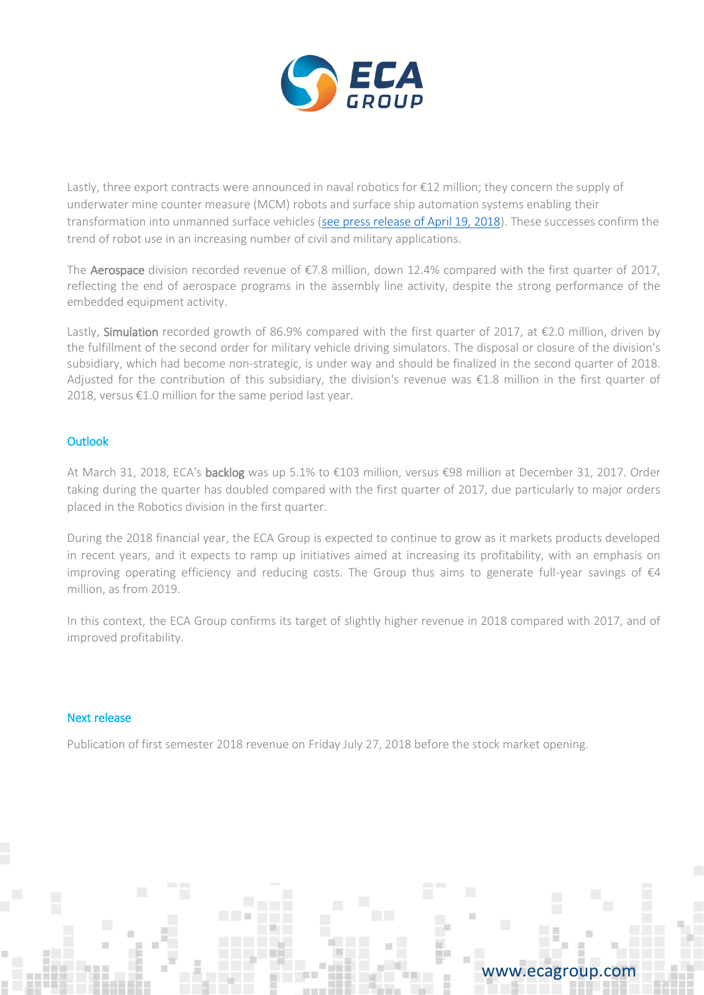

Lastly, three export contracts were announced in naval robotics for €12 million; they concern the supply of underwater mine counter measure (MCM) robots and surface ship automation systems enabling their transformation into unmanned surface vehicles [\(see press release of April 19, 2018\)](https://www.ecagroup.com/en/financial/eca-group-awarded-three-new-orders-totalling-over-eu12-million-field-naval-robotics). These successes confirm the trend of robot use in an increasing number of civil and military applications.

The Aerospace division recorded revenue of €7.8 million, down 12.4% compared with the first quarter of 2017, reflecting the end of aerospace programs in the assembly line activity, despite the strong performance of the embedded equipment activity.

Lastly, Simulation recorded growth of 86.9% compared with the first quarter of 2017, at €2.0 million, driven by the fulfillment of the second order for military vehicle driving simulators. The disposal or closure of the division's subsidiary, which had become non-strategic, is under way and should be finalized in the second quarter of 2018. Adjusted for the contribution of this subsidiary, the division's revenue was €1.8 million in the first quarter of 2018, versus €1.0 million for the same period last year.

### **Outlook**

At March 31, 2018, ECA's backlog was up 5.1% to €103 million, versus €98 million at December 31, 2017. Order taking during the quarter has doubled compared with the first quarter of 2017, due particularly to major orders placed in the Robotics division in the first quarter.

During the 2018 financial year, the ECA Group is expected to continue to grow as it markets products developed in recent years, and it expects to ramp up initiatives aimed at increasing its profitability, with an emphasis on improving operating efficiency and reducing costs. The Group thus aims to generate full-year savings of  $\epsilon 4$ million, as from 2019.

In this context, the ECA Group confirms its target of slightly higher revenue in 2018 compared with 2017, and of improved profitability.

## Next release

Publication of first semester 2018 revenue on Friday July 27, 2018 before the stock market opening.